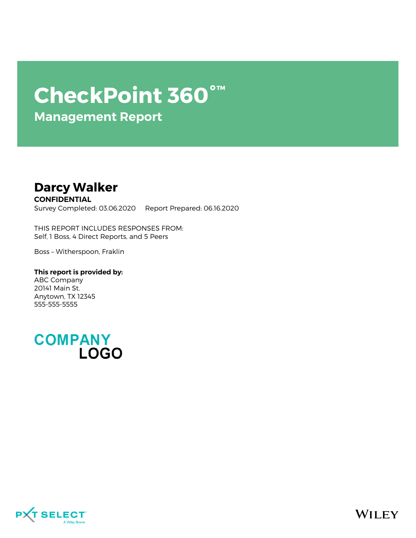# **CheckPoint 360°™**

**Management Report**

# **Darcy Walker**

**CONFIDENTIAL** Survey Completed: 03.06.2020 Report Prepared: 06.16.2020

THIS REPORT INCLUDES RESPONSES FROM: Self, 1 Boss, 4 Direct Reports, and 5 Peers

Boss – Witherspoon, Fraklin

**This report is provided by:** ABC Company 20141 Main St. Anytown, TX 12345 555-555-5555



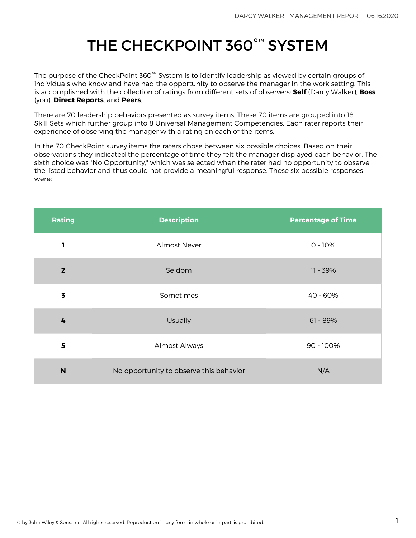# THE CHECKPOINT 360°™ SYSTEM

The purpose of the CheckPoint 360 $^{\circ\!\text{m}}$  System is to identify leadership as viewed by certain groups of individuals who know and have had the opportunity to observe the manager in the work setting. This is accomplished with the collection of ratings from different sets of observers: **Self** (Darcy Walker), **Boss** (you), **Direct Reports**, and **Peers**.

There are 70 leadership behaviors presented as survey items. These 70 items are grouped into 18 Skill Sets which further group into 8 Universal Management Competencies. Each rater reports their experience of observing the manager with a rating on each of the items.

In the 70 CheckPoint survey items the raters chose between six possible choices. Based on their observations they indicated the percentage of time they felt the manager displayed each behavior. The sixth choice was "No Opportunity," which was selected when the rater had no opportunity to observe the listed behavior and thus could not provide a meaningful response. These six possible responses were:

| Rating                  | <b>Description</b>                      | <b>Percentage of Time</b> |
|-------------------------|-----------------------------------------|---------------------------|
| 1                       | <b>Almost Never</b>                     | $0 - 10%$                 |
| $\overline{2}$          | Seldom                                  | 11 - 39%                  |
| $\overline{\mathbf{3}}$ | Sometimes                               | 40 - 60%                  |
| 4                       | Usually                                 | $61 - 89%$                |
| 5                       | Almost Always                           | 90 - 100%                 |
| N                       | No opportunity to observe this behavior | N/A                       |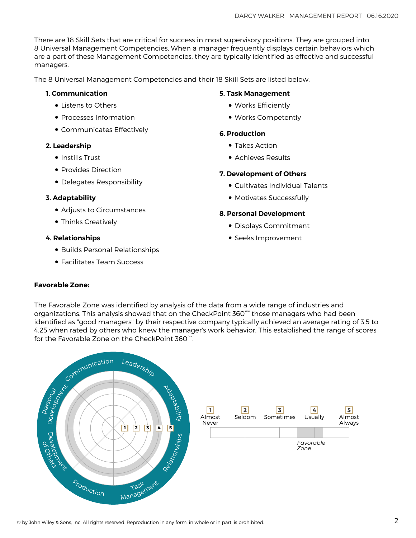There are 18 Skill Sets that are critical for success in most supervisory positions. They are grouped into 8 Universal Management Competencies. When a manager frequently displays certain behaviors which are a part of these Management Competencies, they are typically identified as effective and successful managers.

The 8 Universal Management Competencies and their 18 Skill Sets are listed below.

## **1. Communication**

- Listens to Others
- Processes Information
- Communicates Effectively

# **2. Leadership**

- Instills Trust
- Provides Direction
- Delegates Responsibility

# **3. Adaptability**

- Adjusts to Circumstances
- Thinks Creatively

# **4. Relationships**

- Builds Personal Relationships
- Facilitates Team Success

# **5. Task Management**

- Works Efficiently
- Works Competently

# **6. Production**

- Takes Action
- Achieves Results

# **7. Development of Others**

- Cultivates Individual Talents
- Motivates Successfully

# **8. Personal Development**

- Displays Commitment
- Seeks Improvement

# **Favorable Zone:**

The Favorable Zone was identified by analysis of the data from a wide range of industries and organizations. This analysis showed that on the CheckPoint 360°™ those managers who had been identified as "good managers" by their respective company typically achieved an average rating of 3.5 to 4.25 when rated by others who knew the manager's work behavior. This established the range of scores for the Favorable Zone on the CheckPoint 360°™ .



**5** Almost Always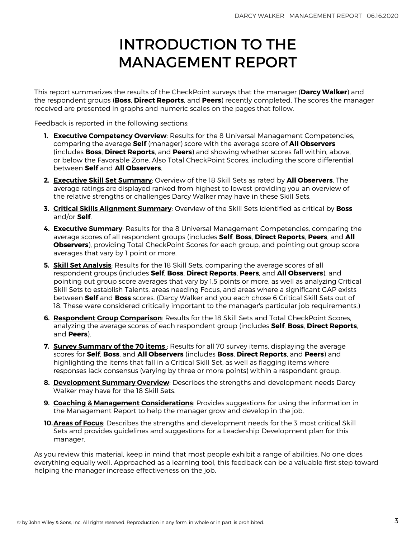# INTRODUCTION TO THE MANAGEMENT REPORT

This report summarizes the results of the CheckPoint surveys that the manager (**Darcy Walker**) and the respondent groups (**Boss**, **Direct Reports**, and **Peers**) recently completed. The scores the manager received are presented in graphs and numeric scales on the pages that follow.

Feedback is reported in the following sections:

- **1. [Executive Competency Overview](#page-4-0)**: Results for the 8 Universal Management Competencies, comparing the average **Self** (manager) score with the average score of **All Observers** (includes **Boss**, **Direct Reports**, and **Peers**) and showing whether scores fall within, above, or below the Favorable Zone. Also Total CheckPoint Scores, including the score differential between **Self** and **All Observers**.
- **2. [Executive Skill Set Summary](#page-5-0)**: Overview of the 18 Skill Sets as rated by **All Observers**. The average ratings are displayed ranked from highest to lowest providing you an overview of the relative strengths or challenges Darcy Walker may have in these Skill Sets.
- **3. [Critical Skills Alignment Summary](#page-6-0)**: Overview of the Skill Sets identified as critical by **Boss** and/or **Self**.
- **4. [Executive Summary](#page-7-0)**: Results for the 8 Universal Management Competencies, comparing the average scores of all respondent groups (includes **Self**, **Boss**, **Direct Reports**, **Peers**, and **All Observers**), providing Total CheckPoint Scores for each group, and pointing out group score averages that vary by 1 point or more.
- **5. [Skill Set Analysis](#page-9-0)**: Results for the 18 Skill Sets, comparing the average scores of all respondent groups (includes **Self**, **Boss**, **Direct Reports**, **Peers**, and **All Observers**), and pointing out group score averages that vary by 1.5 points or more, as well as analyzing Critical Skill Sets to establish Talents, areas needing Focus, and areas where a significant GAP exists between **Self** and **Boss** scores. (Darcy Walker and you each chose 6 Critical Skill Sets out of 18. These were considered critically important to the manager's particular job requirements.)
- **6. [Respondent Group Comparison](#page-14-0)**: Results for the 18 Skill Sets and Total CheckPoint Scores, analyzing the average scores of each respondent group (includes **Self**, **Boss**, **Direct Reports**, and **Peers**).
- **7. [Survey Summary of the 70 items](#page-15-0)** : Results for all 70 survey items, displaying the average scores for **Self**, **Boss**, and **All Observers** (includes **Boss**, **Direct Reports**, and **Peers**) and highlighting the items that fall in a Critical Skill Set, as well as flagging items where responses lack consensus (varying by three or more points) within a respondent group.
- **8. [Development Summary Overview](#page-21-0)**: Describes the strengths and development needs Darcy Walker may have for the 18 Skill Sets.
- **9. Coaching & Management Considerations**: Provides suggestions for using the information in the Management Report to help the manager grow and develop in the job.
- **10.[Areas of Focus](#page-25-0)**: Describes the strengths and development needs for the 3 most critical Skill Sets and provides guidelines and suggestions for a Leadership Development plan for this manager.

As you review this material, keep in mind that most people exhibit a range of abilities. No one does everything equally well. Approached as a learning tool, this feedback can be a valuable first step toward helping the manager increase effectiveness on the job.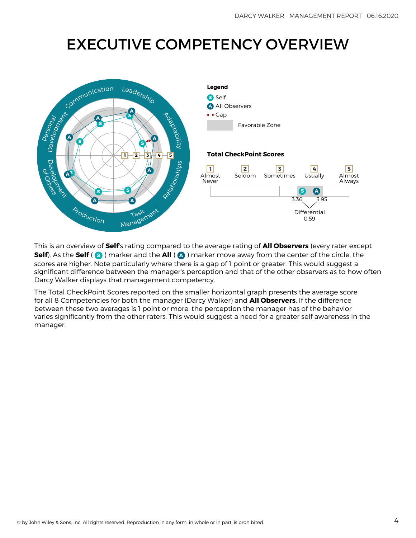# <span id="page-4-0"></span>EXECUTIVE COMPETENCY OVERVIEW



This is an overview of **Self**'s rating compared to the average rating of **All Observers** (every rater except **Self**). As the **Self** ( **S** ) marker and the **All** ( **A** ) marker move away from the center of the circle, the scores are higher. Note particularly where there is a gap of 1 point or greater. This would suggest a significant difference between the manager's perception and that of the other observers as to how often Darcy Walker displays that management competency.

The Total CheckPoint Scores reported on the smaller horizontal graph presents the average score for all 8 Competencies for both the manager (Darcy Walker) and **All Observers**. If the difference between these two averages is 1 point or more, the perception the manager has of the behavior varies significantly from the other raters. This would suggest a need for a greater self awareness in the manager.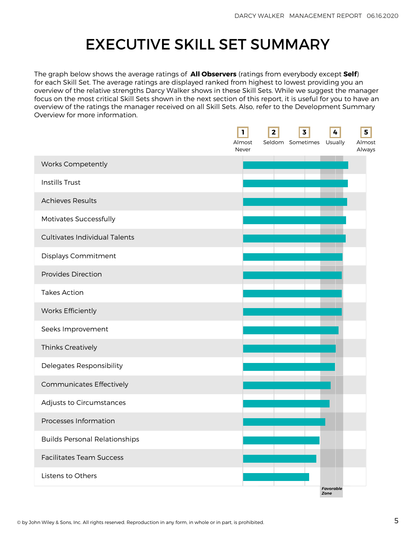# EXECUTIVE SKILL SET SUMMARY

<span id="page-5-0"></span>The graph below shows the average ratings of **All Observers** (ratings from everybody except **Self**) for each Skill Set. The average ratings are displayed ranked from highest to lowest providing you an overview of the relative strengths Darcy Walker shows in these Skill Sets. While we suggest the manager focus on the most critical Skill Sets shown in the next section of this report, it is useful for you to have an overview of the ratings the manager received on all Skill Sets. Also, refer to the Development Summary Overview for more information.

|                                      | L<br>Almost<br>Never | $\mathbf{2}$ | $\overline{\mathbf{3}}$<br>Seldom Sometimes Usually | 4                 | 5<br>Almost<br>Always |
|--------------------------------------|----------------------|--------------|-----------------------------------------------------|-------------------|-----------------------|
| Works Competently                    |                      |              |                                                     |                   |                       |
| <b>Instills Trust</b>                |                      |              |                                                     |                   |                       |
| <b>Achieves Results</b>              |                      |              |                                                     |                   |                       |
| Motivates Successfully               |                      |              |                                                     |                   |                       |
| <b>Cultivates Individual Talents</b> |                      |              |                                                     |                   |                       |
| Displays Commitment                  |                      |              |                                                     |                   |                       |
| <b>Provides Direction</b>            |                      |              |                                                     |                   |                       |
| <b>Takes Action</b>                  |                      |              |                                                     |                   |                       |
| Works Efficiently                    |                      |              |                                                     |                   |                       |
| Seeks Improvement                    |                      |              |                                                     |                   |                       |
| Thinks Creatively                    |                      |              |                                                     |                   |                       |
| Delegates Responsibility             |                      |              |                                                     |                   |                       |
| Communicates Effectively             |                      |              |                                                     |                   |                       |
| Adjusts to Circumstances             |                      |              |                                                     |                   |                       |
| Processes Information                |                      |              |                                                     |                   |                       |
| <b>Builds Personal Relationships</b> |                      |              |                                                     |                   |                       |
| <b>Facilitates Team Success</b>      |                      |              |                                                     |                   |                       |
| Listens to Others                    |                      |              |                                                     |                   |                       |
|                                      |                      |              |                                                     | Favorable<br>Zone |                       |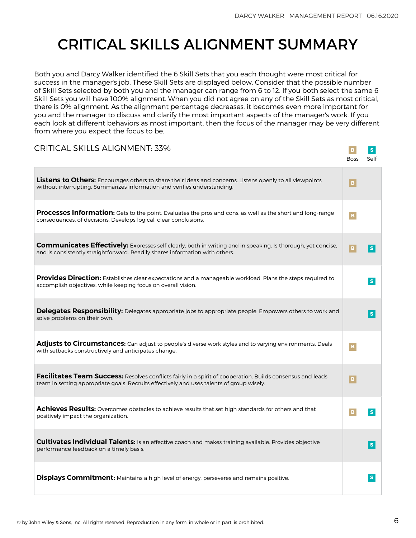# <span id="page-6-0"></span>CRITICAL SKILLS ALIGNMENT SUMMARY

Both you and Darcy Walker identified the 6 Skill Sets that you each thought were most critical for success in the manager's job. These Skill Sets are displayed below. Consider that the possible number of Skill Sets selected by both you and the manager can range from 6 to 12. If you both select the same 6 Skill Sets you will have 100% alignment. When you did not agree on any of the Skill Sets as most critical, there is 0% alignment. As the alignment percentage decreases, it becomes even more important for you and the manager to discuss and clarify the most important aspects of the manager's work. If you each look at different behaviors as most important, then the focus of the manager may be very different from where you expect the focus to be.

| <b>CRITICAL SKILLS ALIGNMENT: 33%</b>                                                                                                                                                                   | <b>Boss</b>     | S<br>Self |
|---------------------------------------------------------------------------------------------------------------------------------------------------------------------------------------------------------|-----------------|-----------|
| Listens to Others: Encourages others to share their ideas and concerns. Listens openly to all viewpoints<br>without interrupting. Summarizes information and verifies understanding.                    | $\mathbf{B}$    |           |
| <b>Processes Information:</b> Gets to the point. Evaluates the pros and cons, as well as the short and long-range<br>consequences, of decisions. Develops logical, clear conclusions.                   | $\, {\bf B} \,$ |           |
| Communicates Effectively: Expresses self clearly, both in writing and in speaking. Is thorough, yet concise,<br>and is consistently straightforward. Readily shares information with others.            | $\mathbf{B}$    | S         |
| Provides Direction: Establishes clear expectations and a manageable workload. Plans the steps required to<br>accomplish objectives, while keeping focus on overall vision.                              |                 | S         |
| Delegates Responsibility: Delegates appropriate jobs to appropriate people. Empowers others to work and<br>solve problems on their own.                                                                 |                 | S         |
| Adjusts to Circumstances: Can adjust to people's diverse work styles and to varying environments. Deals<br>with setbacks constructively and anticipates change.                                         | $\mathbf{B}$    |           |
| Facilitates Team Success: Resolves conflicts fairly in a spirit of cooperation. Builds consensus and leads<br>team in setting appropriate goals. Recruits effectively and uses talents of group wisely. | $\mathbf{B}$    |           |
| Achieves Results: Overcomes obstacles to achieve results that set high standards for others and that<br>positively impact the organization.                                                             | B.              | S         |
| Cultivates Individual Talents: Is an effective coach and makes training available. Provides objective<br>performance feedback on a timely basis.                                                        |                 | S         |
| <b>Displays Commitment:</b> Maintains a high level of energy, perseveres and remains positive.                                                                                                          |                 | S         |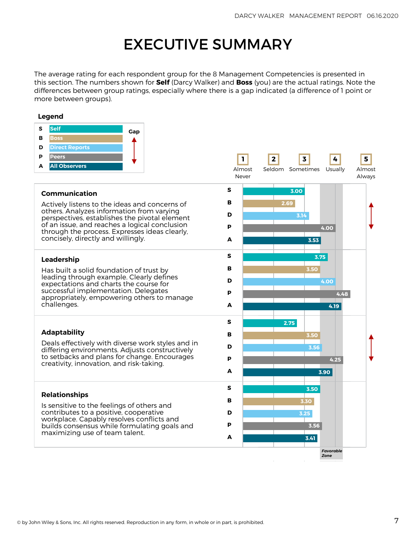# EXECUTIVE SUMMARY

<span id="page-7-0"></span>The average rating for each respondent group for the 8 Management Competencies is presented in this section. The numbers shown for **Self** (Darcy Walker) and **Boss** (you) are the actual ratings. Note the differences between group ratings, especially where there is a gap indicated (a difference of 1 point or more between groups).

#### **Legend**

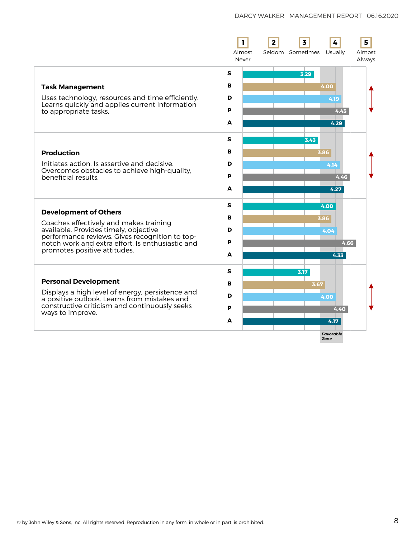|                                                                                                    | $\mathbf{I}$<br>Almost<br>Never | 2    | $\overline{\mathbf{3}}$<br>Seldom Sometimes Usually | 5<br>Almost<br>Always |
|----------------------------------------------------------------------------------------------------|---------------------------------|------|-----------------------------------------------------|-----------------------|
|                                                                                                    | S                               |      | 3.29                                                |                       |
| <b>Task Management</b>                                                                             | в                               |      | 4.00                                                |                       |
| Uses technology, resources and time efficiently.<br>Learns quickly and applies current information | D                               |      | 4.19                                                |                       |
| to appropriate tasks.                                                                              | P                               |      | 4.43                                                |                       |
|                                                                                                    | A                               |      | 4.29                                                |                       |
|                                                                                                    | s                               |      | 3.43                                                |                       |
| <b>Production</b>                                                                                  | в                               |      | 3.86                                                |                       |
| Initiates action. Is assertive and decisive.                                                       | D                               |      | 4.14                                                |                       |
| Overcomes obstacles to achieve high-quality,<br>beneficial results.                                | P                               |      | 4.46                                                |                       |
|                                                                                                    | A                               |      | 4.27                                                |                       |
|                                                                                                    | s                               |      | 4.00                                                |                       |
| <b>Development of Others</b>                                                                       | в                               |      | 3.86                                                |                       |
| Coaches effectively and makes training<br>available. Provides timely, objective                    | D                               |      | 4.04                                                |                       |
| performance reviews. Gives recognition to top-<br>notch work and extra effort. Is enthusiastic and | P                               |      | 4.66                                                |                       |
| promotes positive attitudes.                                                                       | A                               |      | 4.33                                                |                       |
|                                                                                                    | S                               | 3.17 |                                                     |                       |
| <b>Personal Development</b>                                                                        | в                               |      | 3.67                                                |                       |
| Displays a high level of energy, persistence and<br>a positive outlook. Learns from mistakes and   | D                               |      | 4.00                                                |                       |
| constructive criticism and continuously seeks                                                      | P                               |      | 4.40                                                |                       |
| ways to improve.                                                                                   | A                               |      | 4.17                                                |                       |
|                                                                                                    |                                 |      | <b>Favorable</b><br>Zone                            |                       |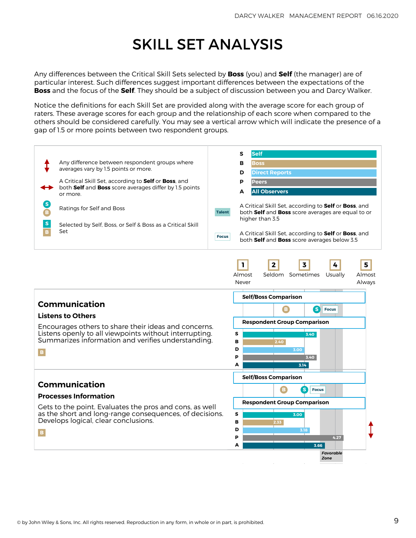# SKILL SET ANALYSIS

<span id="page-9-0"></span>Any differences between the Critical Skill Sets selected by **Boss** (you) and **Self** (the manager) are of particular interest. Such differences suggest important differences between the expectations of the **Boss** and the focus of the **Self**. They should be a subject of discussion between you and Darcy Walker.

Notice the definitions for each Skill Set are provided along with the average score for each group of raters. These average scores for each group and the relationship of each score when compared to the others should be considered carefully. You may see a vertical arrow which will indicate the presence of a gap of 1.5 or more points between two respondent groups.

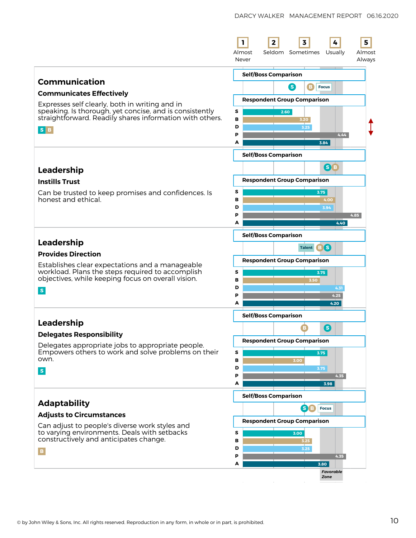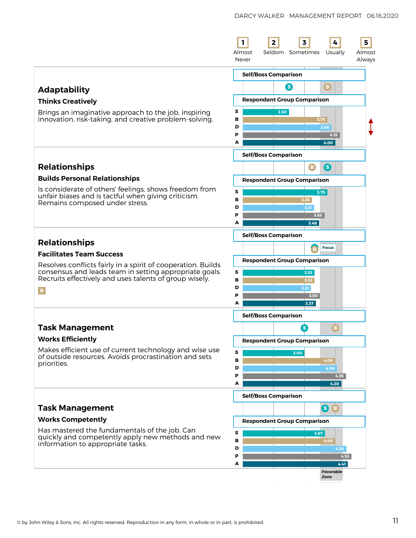|                                                                                                                                                                                                                                                                | L<br>$\mathbf{2}$<br>3<br>4<br>5<br>Seldom Sometimes<br>Almost<br>Usually<br>Almost<br>Never<br>Always                                                          |
|----------------------------------------------------------------------------------------------------------------------------------------------------------------------------------------------------------------------------------------------------------------|-----------------------------------------------------------------------------------------------------------------------------------------------------------------|
| <b>Adaptability</b><br><b>Thinks Creatively</b><br>Brings an imaginative approach to the job, inspiring<br>innovation, risk-taking, and creative problem-solving.                                                                                              | <b>Self/Boss Comparison</b><br>B<br>8<br><b>Respondent Group Comparison</b><br>s<br>2.50<br>в<br>3.75<br>D<br>3.88<br>P<br>4.15<br>A<br>4.00                    |
| <b>Relationships</b><br><b>Builds Personal Relationships</b><br>Is considerate of others' feelings, shows freedom from<br>unfair biases and is tactful when giving criticism.<br>Remains composed under stress.                                                | <b>Self/Boss Comparison</b><br>B<br>6<br><b>Respondent Group Comparison</b><br>s<br>3.75<br>в<br>3.25<br>D<br>3.31<br>P<br>3.65<br>A<br>3.48                    |
| <b>Relationships</b><br><b>Facilitates Team Success</b><br>Resolves conflicts fairly in a spirit of cooperation. Builds<br>consensus and leads team in setting appropriate goals.<br>Recruits effectively and uses talents of group wisely.<br>$\, {\bf B} \,$ | <b>Self/Boss Comparison</b><br><b>Focus</b><br><b>B</b><br><b>Respondent Group Comparison</b><br>s<br>3.33<br>в<br>3.33<br>D<br>3.21<br>P<br>3.50<br>A<br>3.37  |
| <b>Task Management</b><br><b>Works Efficiently</b><br>Makes efficient use of current technology and wise use<br>of outside resources. Avoids procrastination and sets<br>priorities.                                                                           | <b>Self/Boss Comparison</b><br>S<br>$\vert \bm{B} \vert$<br><b>Respondent Group Comparison</b><br>s<br>3.00<br>в<br>4.00<br>D<br>4.06<br>P<br>4.35<br>A<br>4.20 |
| <b>Task Management</b><br><b>Works Competently</b><br>Has mastered the fundamentals of the job. Can<br>quickly and competently apply new methods and new<br>information to appropriate tasks.                                                                  | <b>Self/Boss Comparison</b><br>6B<br><b>Respondent Group Comparison</b><br>s<br>3.67<br>в<br>4.00<br>D<br>4.36<br>P<br>4.53<br>А<br>4.41<br>Favorable<br>Zone   |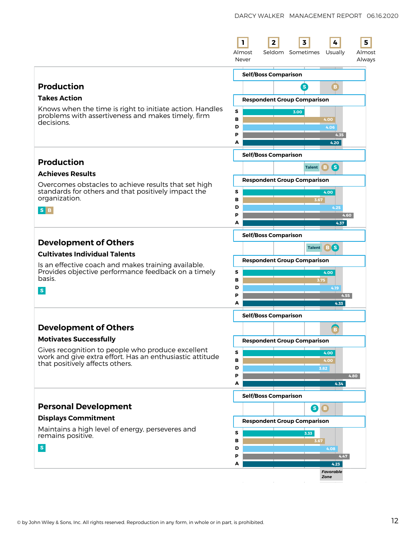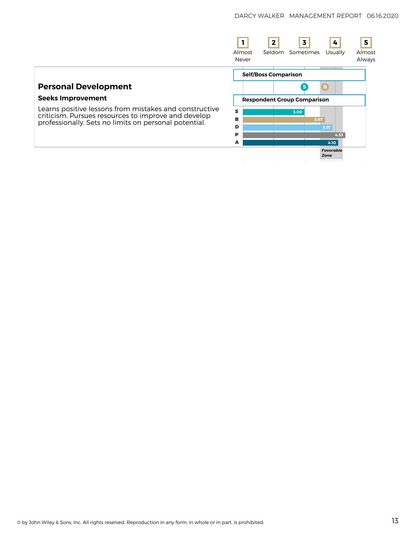|                                                                                                               | Almost<br>Never | $\overline{2}$                     | 3<br>Seldom Sometimes | 4<br>Usually             | 5<br>Almost<br>Always |
|---------------------------------------------------------------------------------------------------------------|-----------------|------------------------------------|-----------------------|--------------------------|-----------------------|
|                                                                                                               |                 | <b>Self/Boss Comparison</b>        |                       |                          |                       |
| <b>Personal Development</b>                                                                                   |                 |                                    |                       | в.                       |                       |
| <b>Seeks Improvement</b>                                                                                      |                 | <b>Respondent Group Comparison</b> |                       |                          |                       |
| Learns positive lessons from mistakes and constructive<br>criticism. Pursues resources to improve and develop | S               |                                    | 3.00                  |                          |                       |
| professionally. Sets no limits on personal potential.                                                         | в<br>D          |                                    |                       | 3.67<br>3.91             |                       |
|                                                                                                               | P               |                                    |                       | 4.33                     |                       |
|                                                                                                               | A               |                                    |                       | 4.10                     |                       |
|                                                                                                               |                 |                                    |                       | <b>Favorable</b><br>Zone |                       |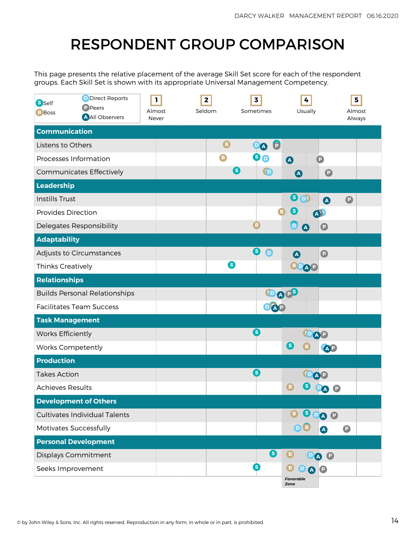# RESPONDENT GROUP COMPARISON

<span id="page-14-0"></span>This page presents the relative placement of the average Skill Set score for each of the respondent groups. Each Skill Set is shown with its appropriate Universal Management Competency.

| <b>S</b> Self<br><b>B</b> Boss  | D Direct Reports<br><b>P</b> Peers<br>A All Observers | 1<br>Almost<br>Never | $\mathbf{2}$<br>Seldom | $\overline{\mathbf{3}}$<br>Sometimes |                 | 4<br>Usually                  |                                    | 5<br>Almost<br>Always |
|---------------------------------|-------------------------------------------------------|----------------------|------------------------|--------------------------------------|-----------------|-------------------------------|------------------------------------|-----------------------|
| <b>Communication</b>            |                                                       |                      |                        |                                      |                 |                               |                                    |                       |
| Listens to Others               |                                                       |                      | $\mathbf \Theta$       |                                      | $\bullet$<br>DA |                               |                                    |                       |
| Processes Information           |                                                       |                      | B                      |                                      | 0o              | $\blacksquare$                | P                                  |                       |
|                                 | Communicates Effectively                              |                      |                        | 6                                    | $\bigodot$      | $\boldsymbol{\Delta}$         | $\mathbf{D}$                       |                       |
| Leadership                      |                                                       |                      |                        |                                      |                 |                               |                                    |                       |
| <b>Instills Trust</b>           |                                                       |                      |                        |                                      |                 | ❸<br>$\mathbf{D}$             | $\bullet$<br>$\boldsymbol{\Delta}$ |                       |
| <b>Provides Direction</b>       |                                                       |                      |                        |                                      | B               | $\mathbf{s}$                  |                                    |                       |
| Delegates Responsibility        |                                                       |                      |                        | B                                    |                 | D)<br>$\overline{\mathbf{A}}$ | $\mathbf \Theta$                   |                       |
| <b>Adaptability</b>             |                                                       |                      |                        |                                      |                 |                               |                                    |                       |
|                                 | Adjusts to Circumstances                              |                      |                        | ❸                                    | $\bigcirc$      | $\boldsymbol{\Omega}$         | $\bullet$                          |                       |
| Thinks Creatively               |                                                       |                      |                        | ❸                                    |                 | BPAP                          |                                    |                       |
| <b>Relationships</b>            |                                                       |                      |                        |                                      |                 |                               |                                    |                       |
|                                 | <b>Builds Personal Relationships</b>                  |                      |                        |                                      | DAPS            |                               |                                    |                       |
| <b>Facilitates Team Success</b> |                                                       |                      |                        |                                      |                 |                               |                                    |                       |
| <b>Task Management</b>          |                                                       |                      |                        |                                      |                 |                               |                                    |                       |
| <b>Works Efficiently</b>        |                                                       |                      |                        | 6                                    |                 |                               |                                    |                       |
| <b>Works Competently</b>        |                                                       |                      |                        |                                      |                 | (S                            | AP                                 |                       |
| <b>Production</b>               |                                                       |                      |                        |                                      |                 |                               |                                    |                       |
| <b>Takes Action</b>             |                                                       |                      |                        | S                                    |                 |                               |                                    |                       |
| <b>Achieves Results</b>         |                                                       |                      |                        |                                      |                 | в                             | O                                  |                       |
| <b>Development of Others</b>    |                                                       |                      |                        |                                      |                 |                               |                                    |                       |
|                                 | <b>Cultivates Individual Talents</b>                  |                      |                        |                                      |                 | B                             | SPAP                               |                       |
| Motivates Successfully          |                                                       |                      |                        |                                      |                 | <b>DB</b>                     | $\bullet$<br>$\boldsymbol{\Delta}$ |                       |
| <b>Personal Development</b>     |                                                       |                      |                        |                                      |                 |                               |                                    |                       |
| <b>Displays Commitment</b>      |                                                       |                      |                        |                                      | ❸               | ❶                             | <b>PO O</b>                        |                       |
| Seeks Improvement               |                                                       |                      |                        | 6                                    |                 | O<br>$\bigcirc$<br><b>AP</b>  |                                    |                       |
|                                 |                                                       |                      |                        |                                      |                 | Favorable<br>Zone             |                                    |                       |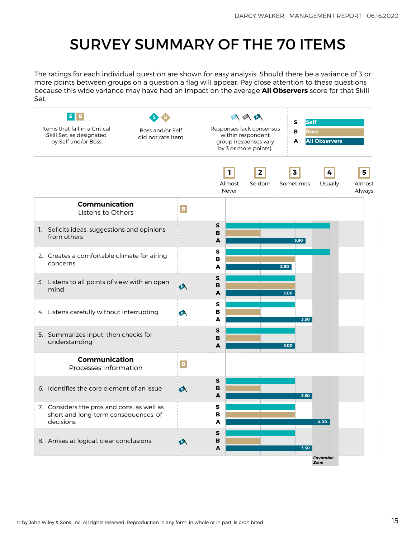# SURVEY SUMMARY OF THE 70 ITEMS

<span id="page-15-0"></span>The ratings for each individual question are shown for easy analysis. Should there be a variance of 3 or more points between groups on a question a flag will appear. Pay close attention to these questions because this wide variance may have had an impact on the average **All Observers** score for that Skill Set.

| S<br>Items that fall in a Critical<br>Skill Set, as designated<br>by Self and/or Boss           | Boss and/or Self<br>did not rate item |                        | 医医区<br>Responses lack consensus<br>within respondent<br>group (responses vary<br>by 3 or more points). | S<br><b>Self</b><br>B<br><b>Boss</b><br><b>All Observers</b><br>A |                       |
|-------------------------------------------------------------------------------------------------|---------------------------------------|------------------------|--------------------------------------------------------------------------------------------------------|-------------------------------------------------------------------|-----------------------|
|                                                                                                 |                                       | L<br>Almost<br>Never   | $\mathbf{2}$<br>Seldom                                                                                 | 3<br>4<br>Sometimes<br>Usually                                    | 5<br>Almost<br>Always |
| <b>Communication</b><br>Listens to Others                                                       | $\mathbf B$                           |                        |                                                                                                        |                                                                   |                       |
| 1. Solicits ideas, suggestions and opinions<br>from others                                      |                                       | s<br>B<br>A            |                                                                                                        | 3.30                                                              |                       |
| 2. Creates a comfortable climate for airing<br>concerns                                         |                                       | s<br>в<br>A            | 2.90                                                                                                   |                                                                   |                       |
| 3. Listens to all points of view with an open<br>mind                                           | $\blacklozenge$                       | $\mathbf{s}$<br>в<br>A |                                                                                                        | 3.00                                                              |                       |
| 4. Listens carefully without interrupting                                                       | $\blacktriangleright$                 | S<br>в<br>A            |                                                                                                        | 3.50                                                              |                       |
| 5. Summarizes input, then checks for<br>understanding                                           |                                       | s<br>в<br>A            |                                                                                                        | 3.00                                                              |                       |
| Communication<br>Processes Information                                                          | $\mathbf{B}$                          |                        |                                                                                                        |                                                                   |                       |
| 6. Identifies the core element of an issue                                                      | A                                     | $\sf{s}$<br>B<br>A     |                                                                                                        | 3.50                                                              |                       |
| 7. Considers the pros and cons, as well as<br>short and long-term consequences, of<br>decisions |                                       | s<br>в<br>A            |                                                                                                        | 4.00                                                              |                       |
| 8. Arrives at logical, clear conclusions                                                        | A                                     | ${\sf s}$<br>B<br>A    |                                                                                                        | 3.50                                                              |                       |
|                                                                                                 |                                       |                        |                                                                                                        | Favorable<br>Zone                                                 |                       |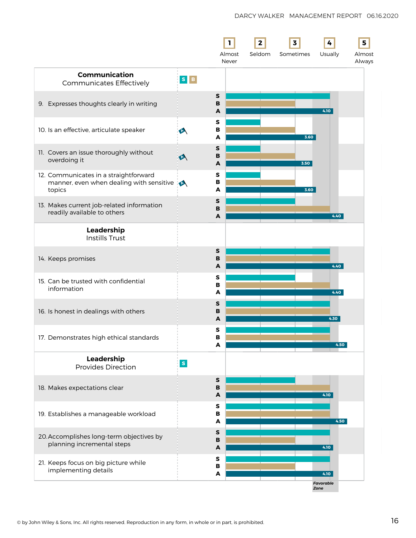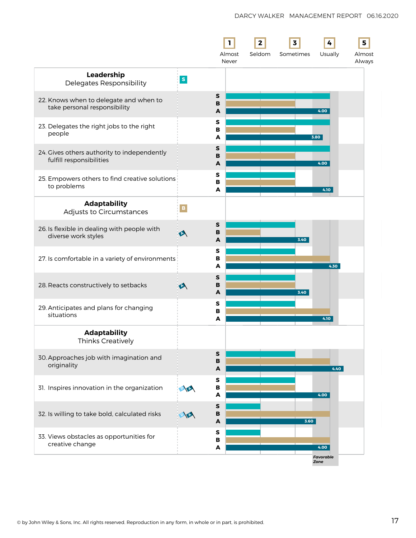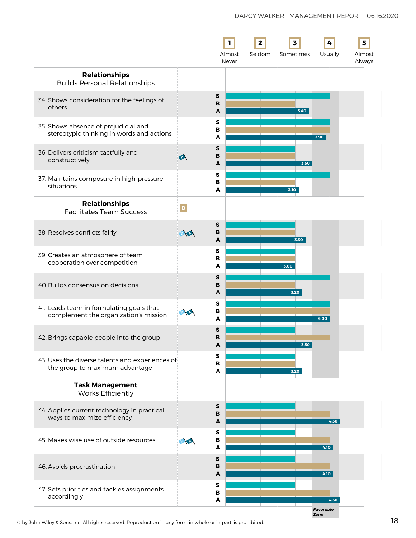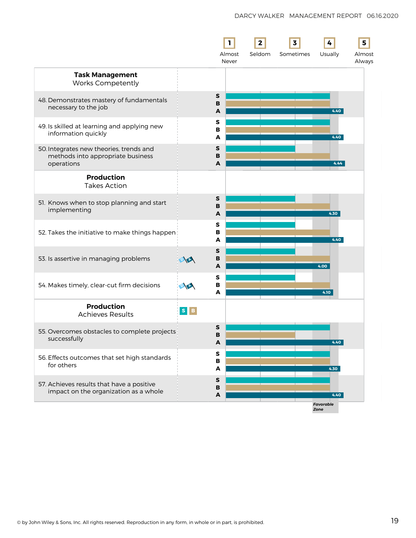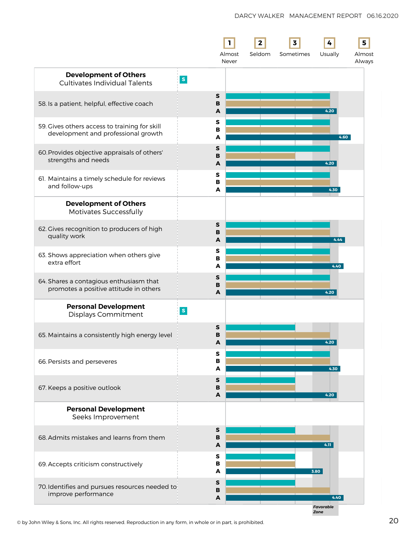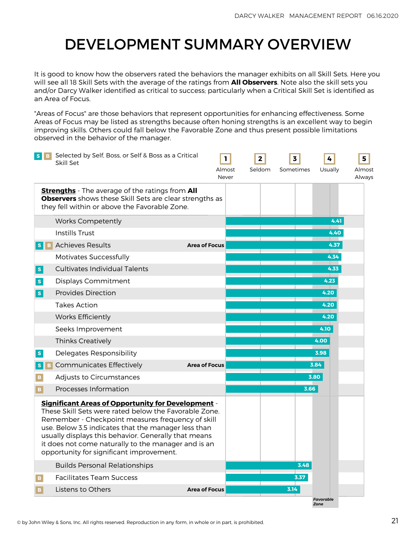# <span id="page-21-0"></span>DEVELOPMENT SUMMARY OVERVIEW

It is good to know how the observers rated the behaviors the manager exhibits on all Skill Sets. Here you will see all 18 Skill Sets with the average of the ratings from **All Observers**. Note also the skill sets you and/or Darcy Walker identified as critical to success; particularly when a Critical Skill Set is identified as an Area of Focus.

"Areas of Focus" are those behaviors that represent opportunities for enhancing effectiveness. Some Areas of Focus may be listed as strengths because often honing strengths is an excellent way to begin improving skills. Others could fall below the Favorable Zone and thus present possible limitations observed in the behavior of the manager.

| $S \parallel B$ | Selected by Self, Boss, or Self & Boss as a Critical<br>Skill Set                                                                                                                                                                                                                                                                                                                         |                      | 1<br>Almost<br>Never | $\mathbf{2}$<br>Seldom | 3<br>Sometimes | Usually                  | 5<br>Almost<br>Always |
|-----------------|-------------------------------------------------------------------------------------------------------------------------------------------------------------------------------------------------------------------------------------------------------------------------------------------------------------------------------------------------------------------------------------------|----------------------|----------------------|------------------------|----------------|--------------------------|-----------------------|
|                 | <b>Strengths</b> - The average of the ratings from All<br><b>Observers</b> shows these Skill Sets are clear strengths as<br>they fell within or above the Favorable Zone.                                                                                                                                                                                                                 |                      |                      |                        |                |                          |                       |
|                 | <b>Works Competently</b>                                                                                                                                                                                                                                                                                                                                                                  |                      |                      |                        |                | 4.41                     |                       |
|                 | <b>Instills Trust</b>                                                                                                                                                                                                                                                                                                                                                                     |                      |                      |                        |                | 4.40                     |                       |
|                 | <b>S</b> B Achieves Results                                                                                                                                                                                                                                                                                                                                                               | <b>Area of Focus</b> |                      |                        |                | 4.37                     |                       |
|                 | <b>Motivates Successfully</b>                                                                                                                                                                                                                                                                                                                                                             |                      |                      |                        |                | 4.34                     |                       |
| $\mathbf S$     | <b>Cultivates Individual Talents</b>                                                                                                                                                                                                                                                                                                                                                      |                      |                      |                        |                | 4.33                     |                       |
| $\mathbf S$     | Displays Commitment                                                                                                                                                                                                                                                                                                                                                                       |                      |                      |                        |                | 4.23                     |                       |
| $\mathbf S$     | <b>Provides Direction</b>                                                                                                                                                                                                                                                                                                                                                                 |                      |                      |                        |                | 4.20                     |                       |
|                 | <b>Takes Action</b>                                                                                                                                                                                                                                                                                                                                                                       |                      |                      |                        |                | 4.20                     |                       |
|                 | <b>Works Efficiently</b>                                                                                                                                                                                                                                                                                                                                                                  |                      |                      |                        |                | 4.20                     |                       |
|                 | Seeks Improvement                                                                                                                                                                                                                                                                                                                                                                         |                      |                      |                        |                | 4.10                     |                       |
|                 | <b>Thinks Creatively</b>                                                                                                                                                                                                                                                                                                                                                                  |                      |                      |                        |                | 4.00                     |                       |
| S               | Delegates Responsibility                                                                                                                                                                                                                                                                                                                                                                  |                      |                      |                        |                | 3.98                     |                       |
| S<br>B.         | <b>Communicates Effectively</b>                                                                                                                                                                                                                                                                                                                                                           | <b>Area of Focus</b> |                      |                        |                | 3.84                     |                       |
| в               | Adjusts to Circumstances                                                                                                                                                                                                                                                                                                                                                                  |                      |                      |                        |                | 3.80                     |                       |
| B.              | Processes Information                                                                                                                                                                                                                                                                                                                                                                     |                      |                      |                        | 3.66           |                          |                       |
|                 | <b>Significant Areas of Opportunity for Development -</b><br>These Skill Sets were rated below the Favorable Zone.<br>Remember - Checkpoint measures frequency of skill<br>use. Below 3.5 indicates that the manager less than<br>usually displays this behavior. Generally that means<br>it does not come naturally to the manager and is an<br>opportunity for significant improvement. |                      |                      |                        |                |                          |                       |
|                 | <b>Builds Personal Relationships</b>                                                                                                                                                                                                                                                                                                                                                      |                      |                      |                        | 3.48           |                          |                       |
| $\mathbf{B}$    | <b>Facilitates Team Success</b>                                                                                                                                                                                                                                                                                                                                                           |                      |                      |                        | 3.37           |                          |                       |
| $\mathbf{B}$    | Listens to Others                                                                                                                                                                                                                                                                                                                                                                         | <b>Area of Focus</b> |                      |                        | 3.14           |                          |                       |
|                 |                                                                                                                                                                                                                                                                                                                                                                                           |                      |                      |                        |                | <b>Favorable</b><br>Zone |                       |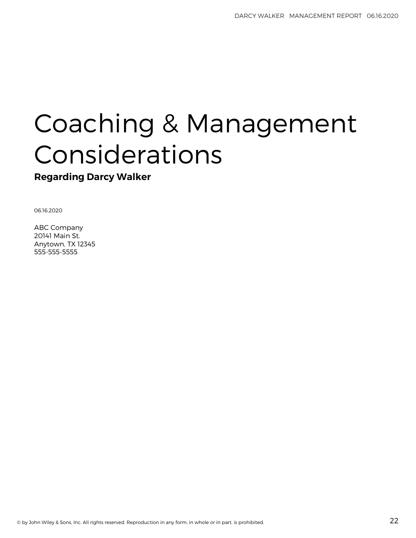# Coaching & Management Considerations

**Regarding Darcy Walker**

06.16.2020

ABC Company 20141 Main St. Anytown, TX 12345 555-555-5555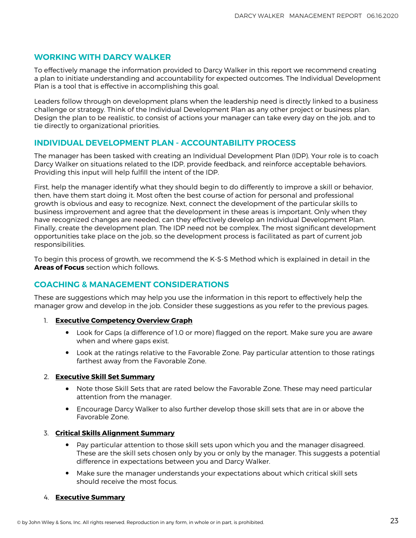### **WORKING WITH DARCY WALKER**

To effectively manage the information provided to Darcy Walker in this report we recommend creating a plan to initiate understanding and accountability for expected outcomes. The Individual Development Plan is a tool that is effective in accomplishing this goal.

Leaders follow through on development plans when the leadership need is directly linked to a business challenge or strategy. Think of the Individual Development Plan as any other project or business plan. Design the plan to be realistic, to consist of actions your manager can take every day on the job, and to tie directly to organizational priorities.

### **INDIVIDUAL DEVELOPMENT PLAN - ACCOUNTABILITY PROCESS**

The manager has been tasked with creating an Individual Development Plan (IDP). Your role is to coach Darcy Walker on situations related to the IDP, provide feedback, and reinforce acceptable behaviors. Providing this input will help fulfill the intent of the IDP.

First, help the manager identify what they should begin to do differently to improve a skill or behavior, then, have them start doing it. Most often the best course of action for personal and professional growth is obvious and easy to recognize. Next, connect the development of the particular skills to business improvement and agree that the development in these areas is important. Only when they have recognized changes are needed, can they effectively develop an Individual Development Plan. Finally, create the development plan. The IDP need not be complex. The most significant development opportunities take place on the job, so the development process is facilitated as part of current job responsibilities.

To begin this process of growth, we recommend the K-S-S Method which is explained in detail in the **Areas of Focus** section which follows.

## **COACHING & MANAGEMENT CONSIDERATIONS**

These are suggestions which may help you use the information in this report to effectively help the manager grow and develop in the job. Consider these suggestions as you refer to the previous pages.

- 1. **Executive Competency Overview Graph**
	- Look for Gaps (a difference of 1.0 or more) flagged on the report. Make sure you are aware when and where gaps exist.
	- Look at the ratings relative to the Favorable Zone. Pay particular attention to those ratings farthest away from the Favorable Zone.

#### 2. **Executive Skill Set Summary**

- Note those Skill Sets that are rated below the Favorable Zone. These may need particular attention from the manager.
- Encourage Darcy Walker to also further develop those skill sets that are in or above the Favorable Zone.

### 3. **Critical Skills Alignment Summary**

- Pay particular attention to those skill sets upon which you and the manager disagreed. These are the skill sets chosen only by you or only by the manager. This suggests a potential difference in expectations between you and Darcy Walker.
- Make sure the manager understands your expectations about which critical skill sets should receive the most focus.

#### 4. **Executive Summary**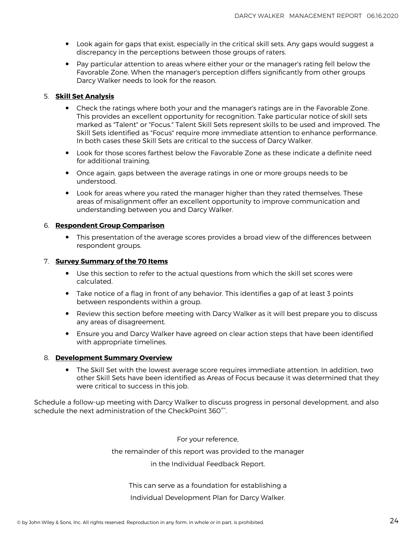- Look again for gaps that exist, especially in the critical skill sets. Any gaps would suggest a<br>discrepancy in the persentions between these groups of raters discrepancy in the perceptions between those groups of raters.
- Pay particular attention to areas where either your or the manager's rating fell below the Favorable Zone. When the manager's perception differs significantly from other groups Darcy Walker needs to look for the reason.

#### 5. **Skill Set Analysis**

- Check the ratings where both your and the manager's ratings are in the Favorable Zone. This provides an excellent opportunity for recognition. Take particular notice of skill sets marked as "Talent" or "Focus." Talent Skill Sets represent skills to be used and improved. The Skill Sets identified as "Focus" require more immediate attention to enhance performance. In both cases these Skill Sets are critical to the success of Darcy Walker.
- Look for those scores farthest below the Favorable Zone as these indicate a definite need for additional training.
- Once again, gaps between the average ratings in one or more groups needs to be understood.
- Look for areas where you rated the manager higher than they rated themselves. These areas of misalignment offer an excellent opportunity to improve communication and understanding between you and Darcy Walker.

#### 6. **Respondent Group Comparison**

• This presentation of the average scores provides a broad view of the differences between respondent groups.

#### 7. **Survey Summary of the 70 Items**

- Use this section to refer to the actual questions from which the skill set scores were calculated.
- Take notice of a flag in front of any behavior. This identifies a gap of at least 3 points between respondents within a group.
- Review this section before meeting with Darcy Walker as it will best prepare you to discuss any areas of disagreement.
- Ensure you and Darcy Walker have agreed on clear action steps that have been identified with appropriate timelines.

#### 8. **Development Summary Overview**

• The Skill Set with the lowest average score requires immediate attention. In addition, two attention and that the other Skill Sets have been identified as Areas of Focus because it was determined that they were critical to success in this job.

Schedule a follow-up meeting with Darcy Walker to discuss progress in personal development, and also schedule the next administration of the CheckPoint 360°™ .

For your reference,

the remainder of this report was provided to the manager

in the Individual Feedback Report.

#### This can serve as a foundation for establishing a

#### Individual Development Plan for Darcy Walker.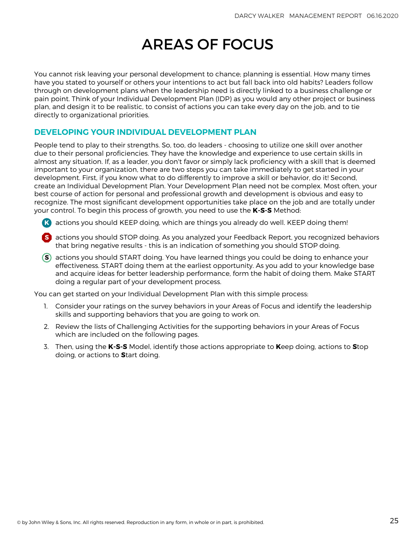# AREAS OF FOCUS

<span id="page-25-0"></span>You cannot risk leaving your personal development to chance; planning is essential. How many times have you stated to yourself or others your intentions to act but fall back into old habits? Leaders follow through on development plans when the leadership need is directly linked to a business challenge or pain point. Think of your Individual Development Plan (IDP) as you would any other project or business plan, and design it to be realistic, to consist of actions you can take every day on the job, and to tie directly to organizational priorities.

### **DEVELOPING YOUR INDIVIDUAL DEVELOPMENT PLAN**

People tend to play to their strengths. So, too, do leaders - choosing to utilize one skill over another due to their personal proficiencies. They have the knowledge and experience to use certain skills in almost any situation. If, as a leader, you don't favor or simply lack proficiency with a skill that is deemed important to your organization, there are two steps you can take immediately to get started in your development. First, if you know what to do differently to improve a skill or behavior, do it! Second, create an Individual Development Plan. Your Development Plan need not be complex. Most often, your best course of action for personal and professional growth and development is obvious and easy to recognize. The most significant development opportunities take place on the job and are totally under your control. To begin this process of growth, you need to use the **K-S-S** Method:

- **K** actions you should KEEP doing, which are things you already do well. KEEP doing them!
- **S** actions you should STOP doing. As you analyzed your Feedback Report, you recognized behaviors that bring negative results - this is an indication of something you should STOP doing.
- **S** actions you should START doing. You have learned things you could be doing to enhance your effectiveness. START doing them at the earliest opportunity. As you add to your knowledge base and acquire ideas for better leadership performance, form the habit of doing them. Make START doing a regular part of your development process.

You can get started on your Individual Development Plan with this simple process:

- 1. Consider your ratings on the survey behaviors in your Areas of Focus and identify the leadership skills and supporting behaviors that you are going to work on.
- 2. Review the lists of Challenging Activities for the supporting behaviors in your Areas of Focus which are included on the following pages.
- 3. Then, using the **K-S-S** Model, identify those actions appropriate to **K**eep doing, actions to **S**top doing, or actions to **S**tart doing.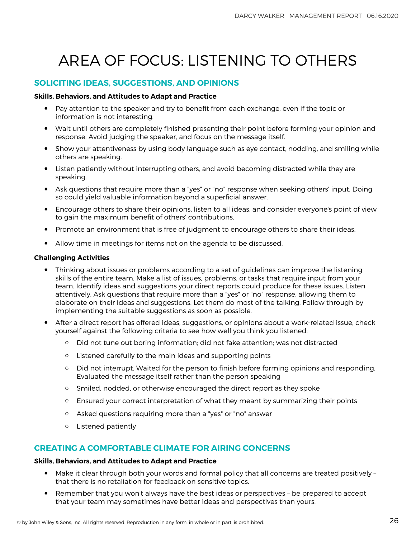# AREA OF FOCUS: LISTENING TO OTHERS

# **SOLICITING IDEAS, SUGGESTIONS, AND OPINIONS**

#### **Skills, Behaviors, and Attitudes to Adapt and Practice**

- Pay attention to the speaker and try to benefit from each exchange, even if the topic or information is not interesting.
- Wait until others are completely finished presenting their point before forming your opinion and response. Avoid judging the speaker, and focus on the message itself.
- Show your attentiveness by using body language such as eye contact, nodding, and smiling while others are speaking.
- Listen patiently without interrupting others, and avoid becoming distracted while they are speaking.
- Ask questions that require more than a "yes" or "no" response when seeking others' input. Doing so could yield valuable information beyond a superficial answer.
- Encourage others to share their opinions, listen to all ideas, and consider everyone's point of view to gain the maximum benefit of others' contributions.
- Promote an environment that is free of judgment to encourage others to share their ideas.
- Allow time in meetings for items not on the agenda to be discussed.

#### **Challenging Activities**

- Thinking about issues or problems according to a set of guidelines can improve the listening<br>clille of the ontire toom. Make a list of issues, problems, or tasks that require input from vaur. skills of the entire team. Make a list of issues, problems, or tasks that require input from your team. Identify ideas and suggestions your direct reports could produce for these issues. Listen attentively. Ask questions that require more than a "yes" or "no" response, allowing them to elaborate on their ideas and suggestions. Let them do most of the talking. Follow through by implementing the suitable suggestions as soon as possible.
- After a direct report has offered ideas, suggestions, or opinions about a work-related issue, check yourself against the following criteria to see how well you think you listened:
	- Did not tune out boring information; did not fake attention; was not distracted
	- Listened carefully to the main ideas and supporting points
	- Did not interrupt. Waited for the person to finish before forming opinions and responding. Evaluated the message itself rather than the person speaking
	- Smiled, nodded, or otherwise encouraged the direct report as they spoke
	- Ensured your correct interpretation of what they meant by summarizing their points
	- Asked questions requiring more than a "yes" or "no" answer
	- Listened patiently

### **CREATING A COMFORTABLE CLIMATE FOR AIRING CONCERNS**

#### **Skills, Behaviors, and Attitudes to Adapt and Practice**

- Make it clear through both your words and formal policy that all concerns are treated positively that there is no retaliation for feedback on sensitive topics.
- Remember that you won't always have the best ideas or perspectives be prepared to accept that your team may sometimes have better ideas and perspectives than yours.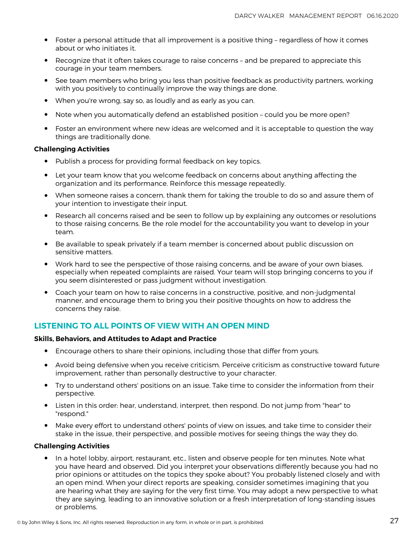- Foster a personal attitude that all improvement is a positive thing regardless of how it comes about or who initiates it.
- Recognize that it often takes courage to raise concerns and be prepared to appreciate this courage in your team members.
- See team members who bring you less than positive feedback as productivity partners, working with you positively to continually improve the way things are done.
- When you're wrong, say so, as loudly and as early as you can.
- Note when you automatically defend an established position could you be more open?
- Foster an environment where new ideas are welcomed and it is acceptable to question the way things are traditionally done.

#### **Challenging Activities**

- Publish a process for providing formal feedback on key topics.
- Let your team know that you welcome feedback on concerns about anything affecting the organization and its performance. Reinforce this message repeatedly.
- When someone raises a concern, thank them for taking the trouble to do so and assure them of your intention to investigate their input.
- Research all concerns raised and be seen to follow up by explaining any outcomes or resolutions to those raising concerns. Be the role model for the accountability you want to develop in your team.
- Be available to speak privately if a team member is concerned about public discussion on sensitive matters.
- Work hard to see the perspective of those raising concerns, and be aware of your own biases, especially when repeated complaints are raised. Your team will stop bringing concerns to you if you seem disinterested or pass judgment without investigation.
- Coach your team on how to raise concerns in a constructive, positive, and non-judgmental manner, and encourage them to bring you their positive thoughts on how to address the concerns they raise.

### **LISTENING TO ALL POINTS OF VIEW WITH AN OPEN MIND**

#### **Skills, Behaviors, and Attitudes to Adapt and Practice**

- Encourage others to share their opinions, including those that differ from yours.
- Avoid being defensive when you receive criticism. Perceive criticism as constructive toward future improvement, rather than personally destructive to your character.
- Try to understand others' positions on an issue. Take time to consider the information from their perspective.
- Listen in this order: hear, understand, interpret, then respond. Do not jump from "hear" to "respond."
- Make every effort to understand others' points of view on issues, and take time to consider their stake in the issue, their perspective, and possible motives for seeing things the way they do.

#### **Challenging Activities**

• In a hotel lobby, airport, restaurant, etc., listen and observe people for ten minutes. Note what you have heard and observed. Did you interpret your observations differently because you had no prior opinions or attitudes on the topics they spoke about? You probably listened closely and with an open mind. When your direct reports are speaking, consider sometimes imagining that you are hearing what they are saying for the very first time. You may adopt a new perspective to what they are saying, leading to an innovative solution or a fresh interpretation of long-standing issues or problems.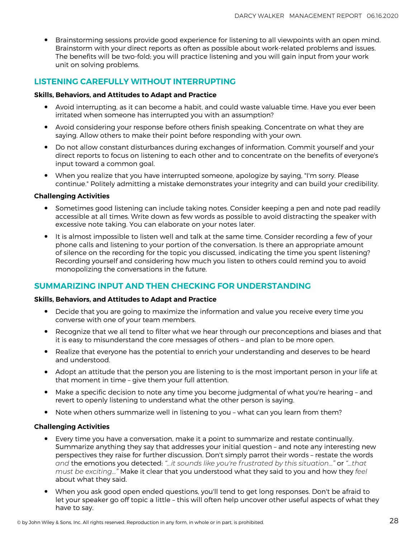• Brainstorming sessions provide good experience for listening to all viewpoints with an open mind. Brainstorm with your direct reports as often as possible about work-related problems and issues. The benefits will be two-fold; you will practice listening and you will gain input from your work unit on solving problems.

# **LISTENING CAREFULLY WITHOUT INTERRUPTING**

#### **Skills, Behaviors, and Attitudes to Adapt and Practice**

- Avoid interrupting, as it can become a habit, and could waste valuable time. Have you ever been irritated when someone has interrupted you with an assumption?
- Avoid considering your response before others finish speaking. Concentrate on what they are saying. Allow others to make their point before responding with your own.
- Do not allow constant disturbances during exchanges of information. Commit yourself and your direct reports to focus on listening to each other and to concentrate on the benefits of everyone's input toward a common goal.
- When you realize that you have interrupted someone, apologize by saying, "I'm sorry. Please continue." Politely admitting a mistake demonstrates your integrity and can build your credibility.

#### **Challenging Activities**

- Sometimes good listening can include taking notes. Consider keeping a pen and note pad readily accessible at all times. Write down as few words as possible to avoid distracting the speaker with excessive note taking. You can elaborate on your notes later.
- It is almost impossible to listen well and talk at the same time. Consider recording a few of your<br>phone calls and listening to your partian of the convergation, la there an appropriate amount phone calls and listening to your portion of the conversation. Is there an appropriate amount of silence on the recording for the topic you discussed, indicating the time you spent listening? Recording yourself and considering how much you listen to others could remind you to avoid monopolizing the conversations in the future.

### **SUMMARIZING INPUT AND THEN CHECKING FOR UNDERSTANDING**

#### **Skills, Behaviors, and Attitudes to Adapt and Practice**

- Decide that you are going to maximize the information and value you receive every time you converse with one of your team members.
- Recognize that we all tend to filter what we hear through our preconceptions and biases and that it is easy to misunderstand the core messages of others – and plan to be more open.
- Realize that everyone has the potential to enrich your understanding and deserves to be heard and understood.
- Adopt an attitude that the person you are listening to is the most important person in your life at that moment in time – give them your full attention.
- Make a specific decision to note any time you become judgmental of what you're hearing and revert to openly listening to understand what the other person is saying.
- Note when others summarize well in listening to you what can you learn from them?

#### **Challenging Activities**

- Every time you have a conversation, make it a point to summarize and restate continually. Summarize anything they say that addresses your initial question – and note any interesting new perspectives they raise for further discussion. Don't simply parrot their words – restate the words *and* the emotions you detected: *"...it sounds like you're frustrated by this situation..."* or *"...that must be exciting..."* Make it clear that you understood what they said to you and how they *feel* about what they said.
- When you ask good open ended questions, you'll tend to get long responses. Don't be afraid to let your speaker go off topic a little – this will often help uncover other useful aspects of what they have to say.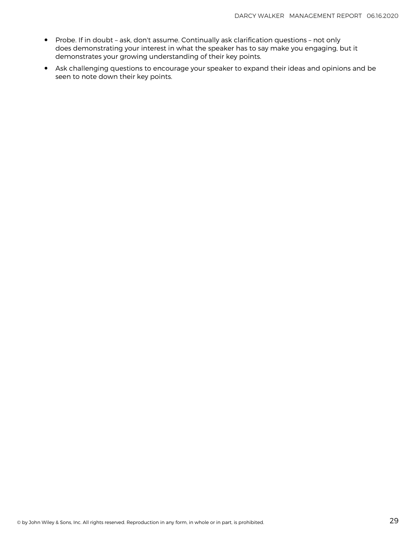- Probe. If in doubt ask, don't assume. Continually ask clarification questions not only does demonstrating your interest in what the speaker has to say make you engaging, but it demonstrates your growing understanding of their key points.
- Ask challenging questions to encourage your speaker to expand their ideas and opinions and be seen to note down their key points.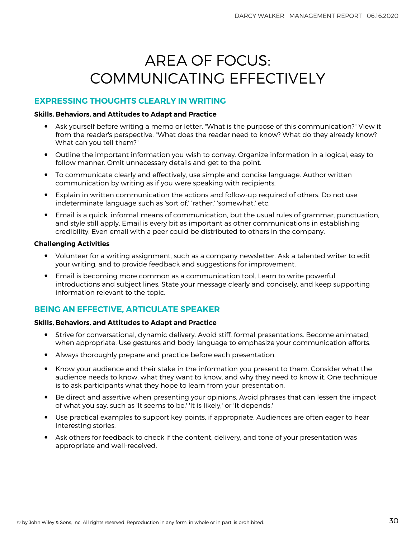# AREA OF FOCUS: COMMUNICATING EFFECTIVELY

### **EXPRESSING THOUGHTS CLEARLY IN WRITING**

#### **Skills, Behaviors, and Attitudes to Adapt and Practice**

- Ask yourself before writing a memo or letter, "What is the purpose of this communication?" View it from the reader's perspective. "What does the reader need to know? What do they already know? What can you tell them?"
- Outline the important information you wish to convey. Organize information in a logical, easy to follow manner. Omit unnecessary details and get to the point.
- To communicate clearly and effectively, use simple and concise language. Author written communication by writing as if you were speaking with recipients.
- Explain in written communication the actions and follow-up required of others. Do not use indeterminate language such as 'sort of,' 'rather,' 'somewhat,' etc.
- Email is a quick, informal means of communication, but the usual rules of grammar, punctuation, and style still apply. Email is every bit as important as other communications in establishing credibility. Even email with a peer could be distributed to others in the company.

#### **Challenging Activities**

- Volunteer for a writing assignment, such as a company newsletter. Ask a talented writer to edit your writing, and to provide feedback and suggestions for improvement.
- Email is becoming more common as a communication tool. Learn to write powerful introductions and subject lines. State your message clearly and concisely, and keep supporting information relevant to the topic.

# **BEING AN EFFECTIVE, ARTICULATE SPEAKER**

#### **Skills, Behaviors, and Attitudes to Adapt and Practice**

- Strive for conversational, dynamic delivery. Avoid stiff, formal presentations. Become animated, when appropriate. Use gestures and body language to emphasize your communication efforts.
- Always thoroughly prepare and practice before each presentation.
- Know your audience and their stake in the information you present to them. Consider what the audience needs to know, what they want to know, and why they need to know it. One technique is to ask participants what they hope to learn from your presentation.
- Be direct and assertive when presenting your opinions. Avoid phrases that can lessen the impact of what you say, such as 'It seems to be,' 'It is likely,' or 'It depends.'
- Use practical examples to support key points, if appropriate. Audiences are often eager to hear interesting stories.
- Ask others for feedback to check if the content, delivery, and tone of your presentation was appropriate and well-received.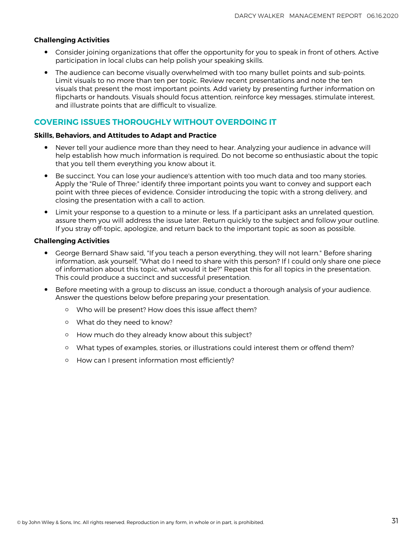#### **Challenging Activities**

- Consider joining organizations that offer the opportunity for you to speak in front of others. Active participation in local clubs can help polish your speaking skills.
- The audience can become visually overwhelmed with too many bullet points and sub-points. Limit visuals to no more than ten per topic. Review recent presentations and note the ten visuals that present the most important points. Add variety by presenting further information on flipcharts or handouts. Visuals should focus attention, reinforce key messages, stimulate interest, and illustrate points that are difficult to visualize.

### **COVERING ISSUES THOROUGHLY WITHOUT OVERDOING IT**

#### **Skills, Behaviors, and Attitudes to Adapt and Practice**

- Never tell your audience more than they need to hear. Analyzing your audience in advance will help establish how much information is required. Do not become so enthusiastic about the topic that you tell them everything you know about it.
- Be succinct. You can lose your audience's attention with too much data and too many stories. Apply the "Rule of Three:" identify three important points you want to convey and support each point with three pieces of evidence. Consider introducing the topic with a strong delivery, and closing the presentation with a call to action.
- Limit your response to a question to a minute or less. If a participant asks an unrelated question, assure them you will address the issue later. Return quickly to the subject and follow your outline. If you stray off-topic, apologize, and return back to the important topic as soon as possible.

#### **Challenging Activities**

- George Bernard Shaw said, "If you teach a person everything, they will not learn." Before sharing information, ask yourself, "What do I need to share with this person? If I could only share one piece of information about this topic, what would it be?" Repeat this for all topics in the presentation. This could produce a succinct and successful presentation.
- Before meeting with a group to discuss an issue, conduct a thorough analysis of your audience. Answer the questions below before preparing your presentation.
	- Who will be present? How does this issue affect them?
	- What do they need to know?
	- How much do they already know about this subject?
	- What types of examples, stories, or illustrations could interest them or offend them?
	- How can I present information most efficiently?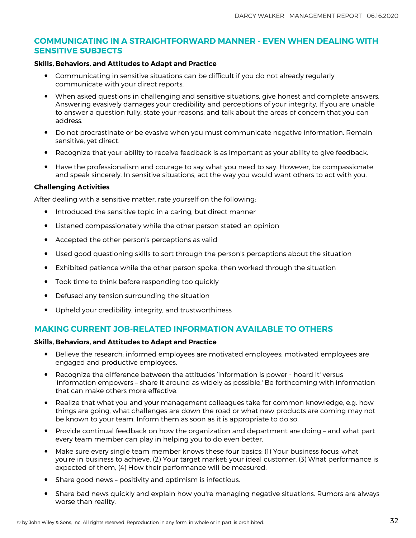### **COMMUNICATING IN A STRAIGHTFORWARD MANNER - EVEN WHEN DEALING WITH SENSITIVE SUBJECTS**

#### **Skills, Behaviors, and Attitudes to Adapt and Practice**

- Communicating in sensitive situations can be difficult if you do not already regularly communicate with your direct reports.
- When asked questions in challenging and sensitive situations, give honest and complete answers. Answering evasively damages your credibility and perceptions of your integrity. If you are unable to answer a question fully, state your reasons, and talk about the areas of concern that you can address.
- Do not procrastinate or be evasive when you must communicate negative information. Remain sensitive, yet direct.
- Recognize that your ability to receive feedback is as important as your ability to give feedback.
- Have the professionalism and courage to say what you need to say. However, be compassionate and speak sincerely. In sensitive situations, act the way you would want others to act with you.

#### **Challenging Activities**

After dealing with a sensitive matter, rate yourself on the following:

- Introduced the sensitive topic in a caring, but direct manner
- Listened compassionately while the other person stated an opinion
- Accepted the other person's perceptions as valid
- Used good questioning skills to sort through the person's perceptions about the situation
- Exhibited patience while the other person spoke, then worked through the situation
- Took time to think before responding too quickly
- Defused any tension surrounding the situation
- Upheld your credibility, integrity, and trustworthiness

### **MAKING CURRENT JOB-RELATED INFORMATION AVAILABLE TO OTHERS**

#### **Skills, Behaviors, and Attitudes to Adapt and Practice**

- Believe the research: informed employees are motivated employees; motivated employees are engaged and productive employees.
- Recognize the difference between the attitudes 'information is power hoard it' versus 'information empowers – share it around as widely as possible.' Be forthcoming with information that can make others more effective.
- Realize that what you and your management colleagues take for common knowledge, e.g. how things are going, what challenges are down the road or what new products are coming may not be known to your team. Inform them as soon as it is appropriate to do so.
- Provide continual feedback on how the organization and department are doing and what part every team member can play in helping you to do even better.
- Make sure every single team member knows these four basics: (1) Your business focus: what you're in business to achieve, (2) Your target market: your ideal customer, (3) What performance is expected of them, (4) How their performance will be measured.
- Share good news positivity and optimism is infectious.
- Share bad news quickly and explain how you're managing negative situations. Rumors are always worse than reality.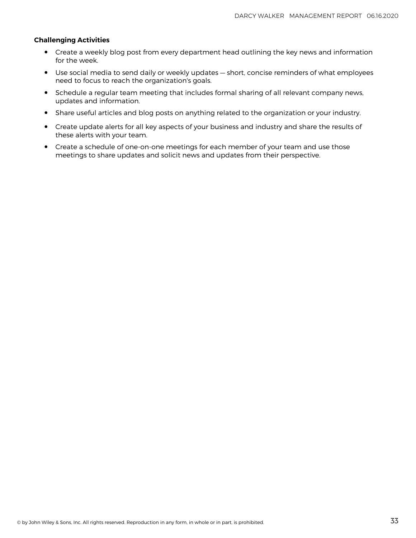#### **Challenging Activities**

- Create a weekly blog post from every department head outlining the key news and information for the week.
- Use social media to send daily or weekly updates short, concise reminders of what employees need to focus to reach the organization's goals.
- Schedule a regular team meeting that includes formal sharing of all relevant company news, updates and information.
- Share useful articles and blog posts on anything related to the organization or your industry.
- Create update alerts for all key aspects of your business and industry and share the results of these alerts with your team.
- Create a schedule of one-on-one meetings for each member of your team and use those meetings to share updates and solicit news and updates from their perspective.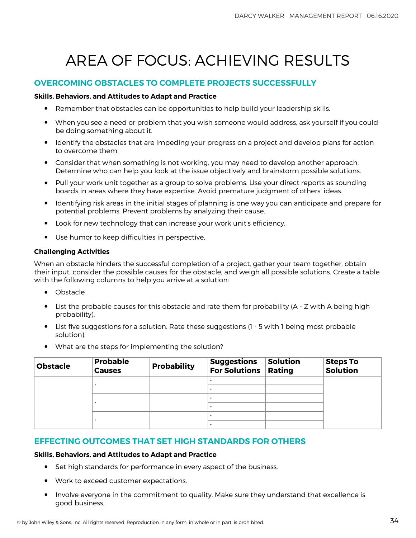# AREA OF FOCUS: ACHIEVING RESULTS

## **OVERCOMING OBSTACLES TO COMPLETE PROJECTS SUCCESSFULLY**

#### **Skills, Behaviors, and Attitudes to Adapt and Practice**

- Remember that obstacles can be opportunities to help build your leadership skills.
- When you see a need or problem that you wish someone would address, ask yourself if you could be doing something about it.
- Identify the obstacles that are impeding your progress on a project and develop plans for action to overcome them.
- Consider that when something is not working, you may need to develop another approach. Determine who can help you look at the issue objectively and brainstorm possible solutions.
- Pull your work unit together as a group to solve problems. Use your direct reports as sounding boards in areas where they have expertise. Avoid premature judgment of others' ideas.
- Identifying risk areas in the initial stages of planning is one way you can anticipate and prepare for potential problems. Prevent problems by analyzing their cause.
- Look for new technology that can increase your work unit's efficiency.
- Use humor to keep difficulties in perspective.

#### **Challenging Activities**

When an obstacle hinders the successful completion of a project, gather your team together, obtain their input, consider the possible causes for the obstacle, and weigh all possible solutions. Create a table with the following columns to help you arrive at a solution:

- Obstacle
- List the probable causes for this obstacle and rate them for probability (A Z with A being high<br>nrabebility) probability).
- List five suggestions for a solution. Rate these suggestions (1 5 with 1 being most probable solution).
- What are the steps for implementing the solution?

| <b>Obstacle</b> | <b>Probable</b><br><b>Causes</b> | <b>Probability</b> | <b>Suggestions</b><br><b>For Solutions</b> | <b>Solution</b><br>Rating | <b>Steps To</b><br><b>Solution</b> |
|-----------------|----------------------------------|--------------------|--------------------------------------------|---------------------------|------------------------------------|
|                 |                                  |                    |                                            |                           |                                    |
|                 |                                  |                    |                                            |                           |                                    |
|                 |                                  |                    |                                            |                           |                                    |
|                 |                                  |                    |                                            |                           |                                    |
|                 |                                  |                    |                                            |                           |                                    |
|                 |                                  |                    |                                            |                           |                                    |

### **EFFECTING OUTCOMES THAT SET HIGH STANDARDS FOR OTHERS**

#### **Skills, Behaviors, and Attitudes to Adapt and Practice**

- Set high standards for performance in every aspect of the business.
- Work to exceed customer expectations.
- Involve everyone in the commitment to quality. Make sure they understand that excellence is good business.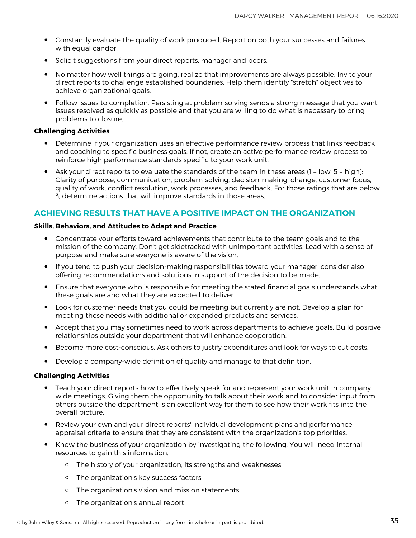- Constantly evaluate the quality of work produced. Report on both your successes and failures with equal candor.
- Solicit suggestions from your direct reports, manager and peers.
- No matter how well things are going, realize that improvements are always possible. Invite your direct reports to challenge established boundaries. Help them identify "stretch" objectives to achieve organizational goals.
- Follow issues to completion. Persisting at problem-solving sends a strong message that you want issues resolved as quickly as possible and that you are willing to do what is necessary to bring problems to closure.

#### **Challenging Activities**

- Determine if your organization uses an effective performance review process that links feedback and coaching to specific business goals. If not, create an active performance review process to reinforce high performance standards specific to your work unit.
- Ask your direct reports to evaluate the standards of the team in these areas  $(1 = low; 5 = high):$ Clarity of purpose, communication, problem-solving, decision-making, change, customer focus, quality of work, conflict resolution, work processes, and feedback. For those ratings that are below 3, determine actions that will improve standards in those areas.

### **ACHIEVING RESULTS THAT HAVE A POSITIVE IMPACT ON THE ORGANIZATION**

#### **Skills, Behaviors, and Attitudes to Adapt and Practice**

- Concentrate your efforts toward achievements that contribute to the team goals and to the mission of the company. Don't get sidetracked with unimportant activities. Lead with a sense of purpose and make sure everyone is aware of the vision.
- If you tend to push your decision-making responsibilities toward your manager, consider also offering recommendations and solutions in support of the decision to be made.
- Ensure that everyone who is responsible for meeting the stated financial goals understands what these goals are and what they are expected to deliver.
- Look for customer needs that you could be meeting but currently are not. Develop a plan for meeting these needs with additional or expanded products and services.
- Accept that you may sometimes need to work across departments to achieve goals. Build positive relationships outside your department that will enhance cooperation.
- Become more cost-conscious. Ask others to justify expenditures and look for ways to cut costs.
- Develop a company-wide definition of quality and manage to that definition.

#### **Challenging Activities**

- Teach your direct reports how to effectively speak for and represent your work unit in company-<br>wide resetings Civing there the expertunity to talk about their work and to consider input from wide meetings. Giving them the opportunity to talk about their work and to consider input from others outside the department is an excellent way for them to see how their work fits into the overall picture.
- Review your own and your direct reports' individual development plans and performance appraisal criteria to ensure that they are consistent with the organization's top priorities.
- Know the business of your organization by investigating the following. You will need internal resources to gain this information.
	- The history of your organization, its strengths and weaknesses
	- The organization's key success factors
	- The organization's vision and mission statements
	- The organization's annual report